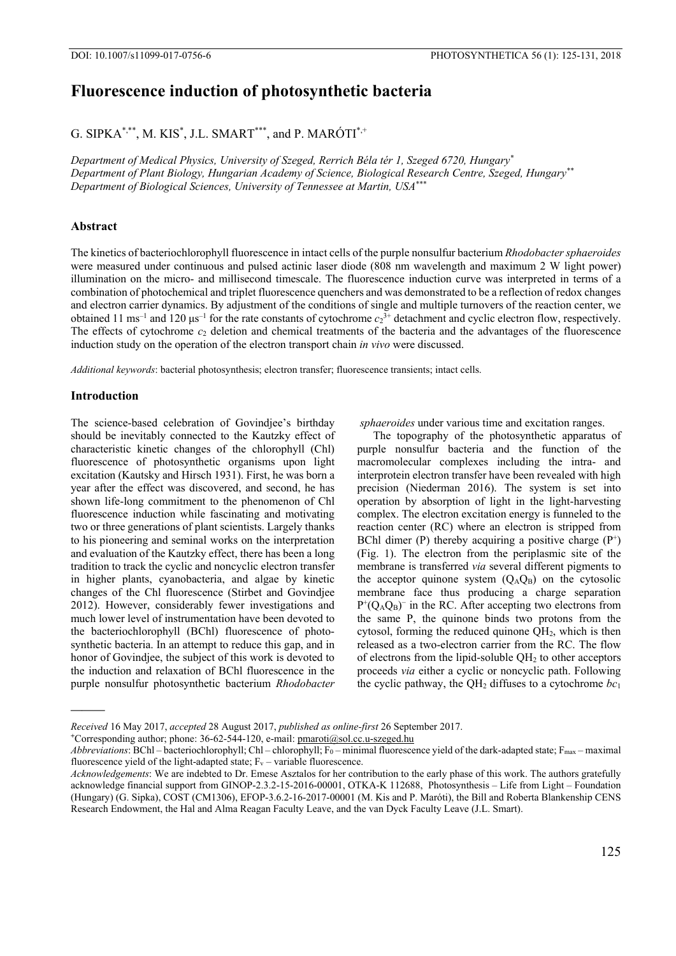# **Fluorescence induction of photosynthetic bacteria**

G. SIPKA\*,\*\*, M. KIS $^*$ , J.L. SMART\*\*\*, and P. MARÓTI $^*$ +

*Department of Medical Physics, University of Szeged, Rerrich Béla tér 1, Szeged 6720, Hungary\* Department of Plant Biology, Hungarian Academy of Science, Biological Research Centre, Szeged, Hungary\*\* Department of Biological Sciences, University of Tennessee at Martin, USA\*\*\**

# **Abstract**

The kinetics of bacteriochlorophyll fluorescence in intact cells of the purple nonsulfur bacterium *Rhodobacter sphaeroides* were measured under continuous and pulsed actinic laser diode (808 nm wavelength and maximum 2 W light power) illumination on the micro- and millisecond timescale. The fluorescence induction curve was interpreted in terms of a combination of photochemical and triplet fluorescence quenchers and was demonstrated to be a reflection of redox changes and electron carrier dynamics. By adjustment of the conditions of single and multiple turnovers of the reaction center, we obtained 11 ms<sup>-1</sup> and 120 μs<sup>-1</sup> for the rate constants of cytochrome  $c_2$ <sup>3+</sup> detachment and cyclic electron flow, respectively. The effects of cytochrome  $c_2$  deletion and chemical treatments of the bacteria and the advantages of the fluorescence induction study on the operation of the electron transport chain *in vivo* were discussed.

*Additional keywords*: bacterial photosynthesis; electron transfer; fluorescence transients; intact cells.

### **Introduction**

**———** 

The science-based celebration of Govindjee's birthday should be inevitably connected to the Kautzky effect of characteristic kinetic changes of the chlorophyll (Chl) fluorescence of photosynthetic organisms upon light excitation (Kautsky and Hirsch 1931). First, he was born a year after the effect was discovered, and second, he has shown life-long commitment to the phenomenon of Chl fluorescence induction while fascinating and motivating two or three generations of plant scientists. Largely thanks to his pioneering and seminal works on the interpretation and evaluation of the Kautzky effect, there has been a long tradition to track the cyclic and noncyclic electron transfer in higher plants, cyanobacteria, and algae by kinetic changes of the Chl fluorescence (Stirbet and Govindjee 2012). However, considerably fewer investigations and much lower level of instrumentation have been devoted to the bacteriochlorophyll (BChl) fluorescence of photosynthetic bacteria. In an attempt to reduce this gap, and in honor of Govindjee, the subject of this work is devoted to the induction and relaxation of BChl fluorescence in the purple nonsulfur photosynthetic bacterium *Rhodobacter* 

 *sphaeroides* under various time and excitation ranges.

The topography of the photosynthetic apparatus of purple nonsulfur bacteria and the function of the macromolecular complexes including the intra- and interprotein electron transfer have been revealed with high precision (Niederman 2016). The system is set into operation by absorption of light in the light-harvesting complex. The electron excitation energy is funneled to the reaction center (RC) where an electron is stripped from BChl dimer (P) thereby acquiring a positive charge  $(P^+)$ (Fig. 1). The electron from the periplasmic site of the membrane is transferred *via* several different pigments to the acceptor quinone system  $(O_A O_B)$  on the cytosolic membrane face thus producing a charge separation  $P^+(Q_AQ_B)^-$  in the RC. After accepting two electrons from the same P, the quinone binds two protons from the cytosol, forming the reduced quinone QH2, which is then released as a two-electron carrier from the RC. The flow of electrons from the lipid-soluble  $QH<sub>2</sub>$  to other acceptors proceeds *via* either a cyclic or noncyclic path. Following the cyclic pathway, the  $QH_2$  diffuses to a cytochrome  $bc_1$ 

**<sup>+</sup>**Corresponding author; phone: 36-62-544-120, e-mail: pmaroti@sol.cc.u-szeged.hu

*Received* 16 May 2017, *accepted* 28 August 2017, *published as online-first* 26 September 2017.

*Abbreviations*: BChl – bacteriochlorophyll; Chl – chlorophyll; F<sub>0</sub> – minimal fluorescence yield of the dark-adapted state; F<sub>max</sub> – maximal fluorescence yield of the light-adapted state;  $F_v$  – variable fluorescence.

*Acknowledgements*: We are indebted to Dr. Emese Asztalos for her contribution to the early phase of this work. The authors gratefully acknowledge financial support from GINOP-2.3.2-15-2016-00001, OTKA-K 112688, Photosynthesis – Life from Light – Foundation (Hungary) (G. Sipka), COST (CM1306), EFOP-3.6.2-16-2017-00001 (M. Kis and P. Maróti), the Bill and Roberta Blankenship CENS Research Endowment, the Hal and Alma Reagan Faculty Leave, and the van Dyck Faculty Leave (J.L. Smart).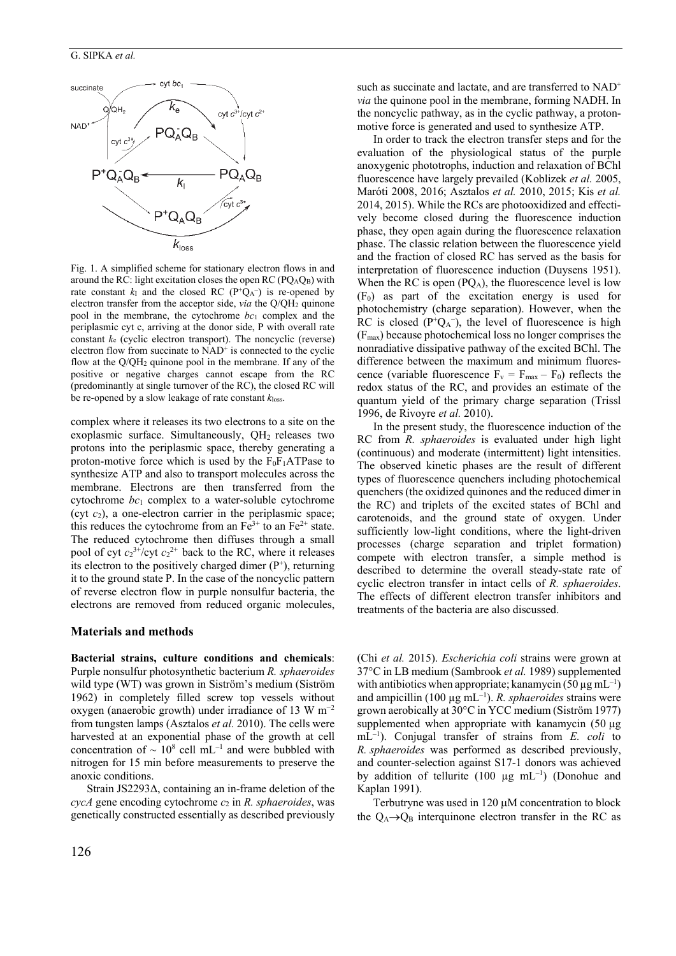

Fig. 1. A simplified scheme for stationary electron flows in and around the RC: light excitation closes the open RC ( $PQ_AQ_B$ ) with rate constant  $k_I$  and the closed RC ( $P^+Q_A^-$ ) is re-opened by electron transfer from the acceptor side, *via* the Q/QH<sub>2</sub> quinone pool in the membrane, the cytochrome *bc*1 complex and the periplasmic cyt c, arriving at the donor side, P with overall rate constant *k*e (cyclic electron transport). The noncyclic (reverse) electron flow from succinate to  $NAD<sup>+</sup>$  is connected to the cyclic flow at the Q/QH2 quinone pool in the membrane. If any of the positive or negative charges cannot escape from the RC (predominantly at single turnover of the RC), the closed RC will be re-opened by a slow leakage of rate constant *k*loss.

complex where it releases its two electrons to a site on the exoplasmic surface. Simultaneously,  $QH_2$  releases two protons into the periplasmic space, thereby generating a proton-motive force which is used by the  $F_0F_1ATP$ ase to synthesize ATP and also to transport molecules across the membrane. Electrons are then transferred from the cytochrome *bc*1 complex to a water-soluble cytochrome (cyt *c*2), a one-electron carrier in the periplasmic space; this reduces the cytochrome from an  $Fe^{3+}$  to an  $Fe^{2+}$  state. The reduced cytochrome then diffuses through a small pool of cyt  $c_2^{3+}/c$ yt  $c_2^{2+}$  back to the RC, where it releases its electron to the positively charged dimer  $(P^+)$ , returning it to the ground state P. In the case of the noncyclic pattern of reverse electron flow in purple nonsulfur bacteria, the electrons are removed from reduced organic molecules,

## **Materials and methods**

**Bacterial strains, culture conditions and chemicals**: Purple nonsulfur photosynthetic bacterium *R. sphaeroides* wild type (WT) was grown in Siström's medium (Siström 1962) in completely filled screw top vessels without oxygen (anaerobic growth) under irradiance of 13 W m<sup>−</sup><sup>2</sup> from tungsten lamps (Asztalos *et al.* 2010). The cells were harvested at an exponential phase of the growth at cell concentration of  $\sim 10^8$  cell mL<sup>-1</sup> and were bubbled with nitrogen for 15 min before measurements to preserve the anoxic conditions.

Strain JS2293Δ, containing an in-frame deletion of the *cycA* gene encoding cytochrome *c*2 in *R. sphaeroides*, was genetically constructed essentially as described previously such as succinate and lactate, and are transferred to NAD<sup>+</sup> *via* the quinone pool in the membrane, forming NADH. In the noncyclic pathway, as in the cyclic pathway, a protonmotive force is generated and used to synthesize ATP.

In order to track the electron transfer steps and for the evaluation of the physiological status of the purple anoxygenic phototrophs, induction and relaxation of BChl fluorescence have largely prevailed (Koblizek *et al.* 2005, Maróti 2008, 2016; Asztalos *et al.* 2010, 2015; Kis *et al.* 2014, 2015). While the RCs are photooxidized and effectively become closed during the fluorescence induction phase, they open again during the fluorescence relaxation phase. The classic relation between the fluorescence yield and the fraction of closed RC has served as the basis for interpretation of fluorescence induction (Duysens 1951). When the RC is open  $(PO<sub>A</sub>)$ , the fluorescence level is low  $(F<sub>0</sub>)$  as part of the excitation energy is used for photochemistry (charge separation). However, when the RC is closed ( $P^+Q_A^-$ ), the level of fluorescence is high (Fmax) because photochemical loss no longer comprises the nonradiative dissipative pathway of the excited BChl. The difference between the maximum and minimum fluorescence (variable fluorescence  $F_v = F_{max} - F_0$ ) reflects the redox status of the RC, and provides an estimate of the quantum yield of the primary charge separation (Trissl 1996, de Rivoyre *et al.* 2010).

In the present study, the fluorescence induction of the RC from *R. sphaeroides* is evaluated under high light (continuous) and moderate (intermittent) light intensities. The observed kinetic phases are the result of different types of fluorescence quenchers including photochemical quenchers (the oxidized quinones and the reduced dimer in the RC) and triplets of the excited states of BChl and carotenoids, and the ground state of oxygen. Under sufficiently low-light conditions, where the light-driven processes (charge separation and triplet formation) compete with electron transfer, a simple method is described to determine the overall steady-state rate of cyclic electron transfer in intact cells of *R. sphaeroides*. The effects of different electron transfer inhibitors and treatments of the bacteria are also discussed.

(Chi *et al.* 2015). *Escherichia coli* strains were grown at 37°C in LB medium (Sambrook *et al.* 1989) supplemented with antibiotics when appropriate; kanamycin  $(50 \,\mu g \, \text{mL}^{-1})$ and ampicillin  $(100 \mu g \text{ mL}^{-1})$ . *R. sphaeroides* strains were grown aerobically at 30°C in YCC medium (Siström 1977) supplemented when appropriate with kanamycin (50 µg) mL–1). Conjugal transfer of strains from *E. coli* to *R. sphaeroides* was performed as described previously, and counter-selection against S17-1 donors was achieved by addition of tellurite (100  $\mu$ g mL<sup>-1</sup>) (Donohue and Kaplan 1991).

Terbutryne was used in 120  $\mu$ M concentration to block the  $Q_A \rightarrow Q_B$  interquinone electron transfer in the RC as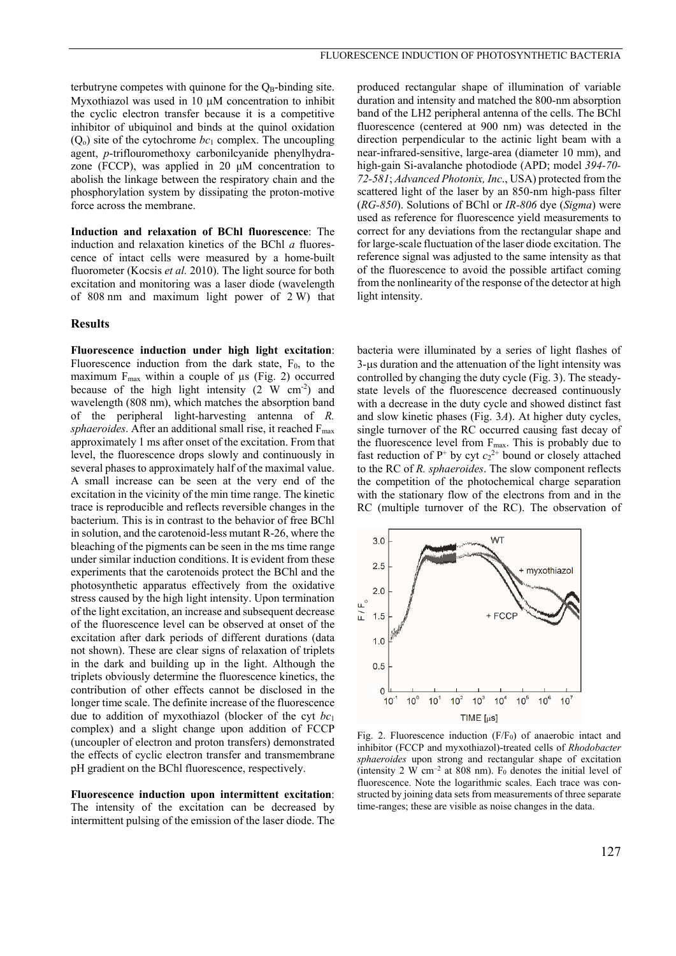terbutryne competes with quinone for the  $Q_B$ -binding site. Myxothiazol was used in 10  $\mu$ M concentration to inhibit the cyclic electron transfer because it is a competitive inhibitor of ubiquinol and binds at the quinol oxidation  $(O<sub>o</sub>)$  site of the cytochrome  $bc<sub>1</sub>$  complex. The uncoupling agent, *p*-triflouromethoxy carbonilcyanide phenylhydrazone (FCCP), was applied in 20 μM concentration to abolish the linkage between the respiratory chain and the phosphorylation system by dissipating the proton-motive force across the membrane.

**Induction and relaxation of BChl fluorescence**: The induction and relaxation kinetics of the BChl *a* fluorescence of intact cells were measured by a home-built fluorometer (Kocsis *et al.* 2010). The light source for both excitation and monitoring was a laser diode (wavelength of 808 nm and maximum light power of 2 W) that

#### **Results**

**Fluorescence induction under high light excitation**: Fluorescence induction from the dark state,  $F_0$ , to the maximum  $F_{\text{max}}$  within a couple of  $\mu$ s (Fig. 2) occurred because of the high light intensity  $(2 \text{ W cm}^2)$  and wavelength (808 nm), which matches the absorption band of the peripheral light-harvesting antenna of *R.*   $sphaeroides$ . After an additional small rise, it reached  $F_{\text{max}}$ approximately 1 ms after onset of the excitation. From that level, the fluorescence drops slowly and continuously in several phases to approximately half of the maximal value. A small increase can be seen at the very end of the excitation in the vicinity of the min time range. The kinetic trace is reproducible and reflects reversible changes in the bacterium. This is in contrast to the behavior of free BChl in solution, and the carotenoid-less mutant R-26, where the bleaching of the pigments can be seen in the ms time range under similar induction conditions. It is evident from these experiments that the carotenoids protect the BChl and the photosynthetic apparatus effectively from the oxidative stress caused by the high light intensity. Upon termination of the light excitation, an increase and subsequent decrease of the fluorescence level can be observed at onset of the excitation after dark periods of different durations (data not shown). These are clear signs of relaxation of triplets in the dark and building up in the light. Although the triplets obviously determine the fluorescence kinetics, the contribution of other effects cannot be disclosed in the longer time scale. The definite increase of the fluorescence due to addition of myxothiazol (blocker of the cyt *bc*<sup>1</sup> complex) and a slight change upon addition of FCCP (uncoupler of electron and proton transfers) demonstrated the effects of cyclic electron transfer and transmembrane pH gradient on the BChl fluorescence, respectively.

**Fluorescence induction upon intermittent excitation**: The intensity of the excitation can be decreased by intermittent pulsing of the emission of the laser diode. The produced rectangular shape of illumination of variable duration and intensity and matched the 800-nm absorption band of the LH2 peripheral antenna of the cells. The BChl fluorescence (centered at 900 nm) was detected in the direction perpendicular to the actinic light beam with a near-infrared-sensitive, large-area (diameter 10 mm), and high-gain Si-avalanche photodiode (APD; model *394-70- 72-581*; *Advanced Photonix, Inc*., USA) protected from the scattered light of the laser by an 850-nm high-pass filter (*RG-850*). Solutions of BChl or *IR-806* dye (*Sigma*) were used as reference for fluorescence yield measurements to correct for any deviations from the rectangular shape and for large-scale fluctuation of the laser diode excitation. The reference signal was adjusted to the same intensity as that of the fluorescence to avoid the possible artifact coming from the nonlinearity of the response of the detector at high light intensity.

bacteria were illuminated by a series of light flashes of  $3$ - $\mu$ s duration and the attenuation of the light intensity was controlled by changing the duty cycle (Fig. 3). The steadystate levels of the fluorescence decreased continuously with a decrease in the duty cycle and showed distinct fast and slow kinetic phases (Fig. 3*A*). At higher duty cycles, single turnover of the RC occurred causing fast decay of the fluorescence level from  $F_{\text{max}}$ . This is probably due to fast reduction of  $P^+$  by cyt  $c_2^2$  bound or closely attached to the RC of *R. sphaeroides*. The slow component reflects the competition of the photochemical charge separation with the stationary flow of the electrons from and in the RC (multiple turnover of the RC). The observation of



Fig. 2. Fluorescence induction  $(F/F_0)$  of anaerobic intact and inhibitor (FCCP and myxothiazol)-treated cells of *Rhodobacter sphaeroides* upon strong and rectangular shape of excitation (intensity 2 W  $cm^{-2}$  at 808 nm). F<sub>0</sub> denotes the initial level of fluorescence. Note the logarithmic scales. Each trace was constructed by joining data sets from measurements of three separate time-ranges; these are visible as noise changes in the data.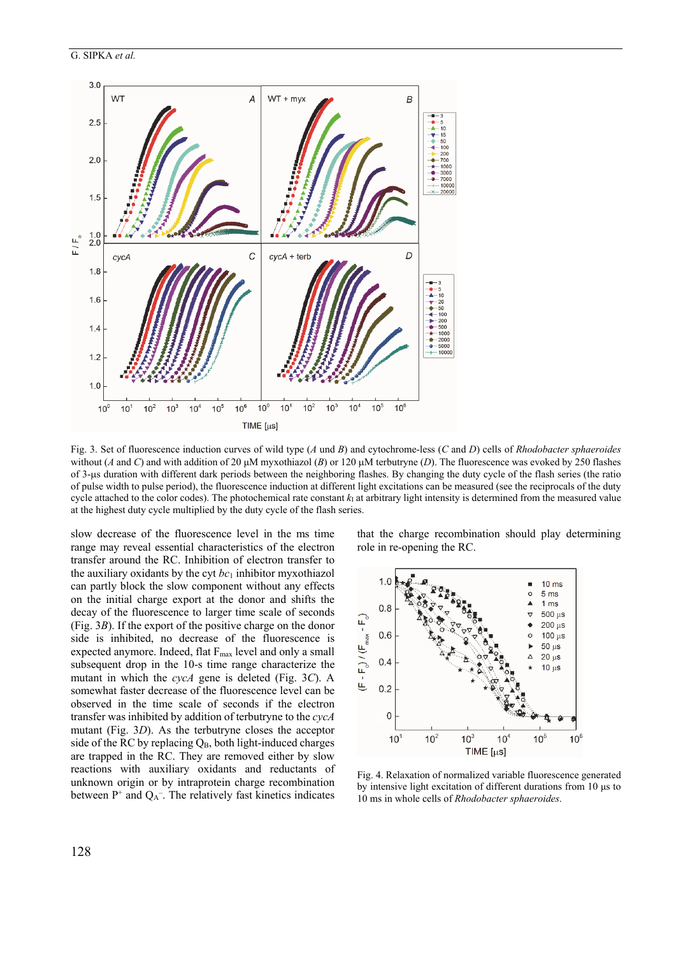



Fig. 3. Set of fluorescence induction curves of wild type (*A* und *B*) and cytochrome-less (*C* and *D*) cells of *Rhodobacter sphaeroides* without (*A* and *C*) and with addition of 20  $\mu$ M myxothiazol (*B*) or 120  $\mu$ M terbutryne (*D*). The fluorescence was evoked by 250 flashes of 3-s duration with different dark periods between the neighboring flashes. By changing the duty cycle of the flash series (the ratio of pulse width to pulse period), the fluorescence induction at different light excitations can be measured (see the reciprocals of the duty cycle attached to the color codes). The photochemical rate constant  $k<sub>1</sub>$  at arbitrary light intensity is determined from the measured value at the highest duty cycle multiplied by the duty cycle of the flash series.

slow decrease of the fluorescence level in the ms time range may reveal essential characteristics of the electron transfer around the RC. Inhibition of electron transfer to the auxiliary oxidants by the cyt  $bc_1$  inhibitor myxothiazol can partly block the slow component without any effects on the initial charge export at the donor and shifts the decay of the fluorescence to larger time scale of seconds (Fig. 3*B*). If the export of the positive charge on the donor side is inhibited, no decrease of the fluorescence is expected anymore. Indeed, flat F<sub>max</sub> level and only a small subsequent drop in the 10-s time range characterize the mutant in which the *cycA* gene is deleted (Fig. 3*C*). A somewhat faster decrease of the fluorescence level can be observed in the time scale of seconds if the electron transfer was inhibited by addition of terbutryne to the *cycA* mutant (Fig. 3*D*). As the terbutryne closes the acceptor side of the RC by replacing  $Q_B$ , both light-induced charges are trapped in the RC. They are removed either by slow reactions with auxiliary oxidants and reductants of unknown origin or by intraprotein charge recombination between  $P^+$  and  $Q_A^-$ . The relatively fast kinetics indicates that the charge recombination should play determining role in re-opening the RC.



Fig. 4. Relaxation of normalized variable fluorescence generated by intensive light excitation of different durations from 10 μs to 10 ms in whole cells of *Rhodobacter sphaeroides*.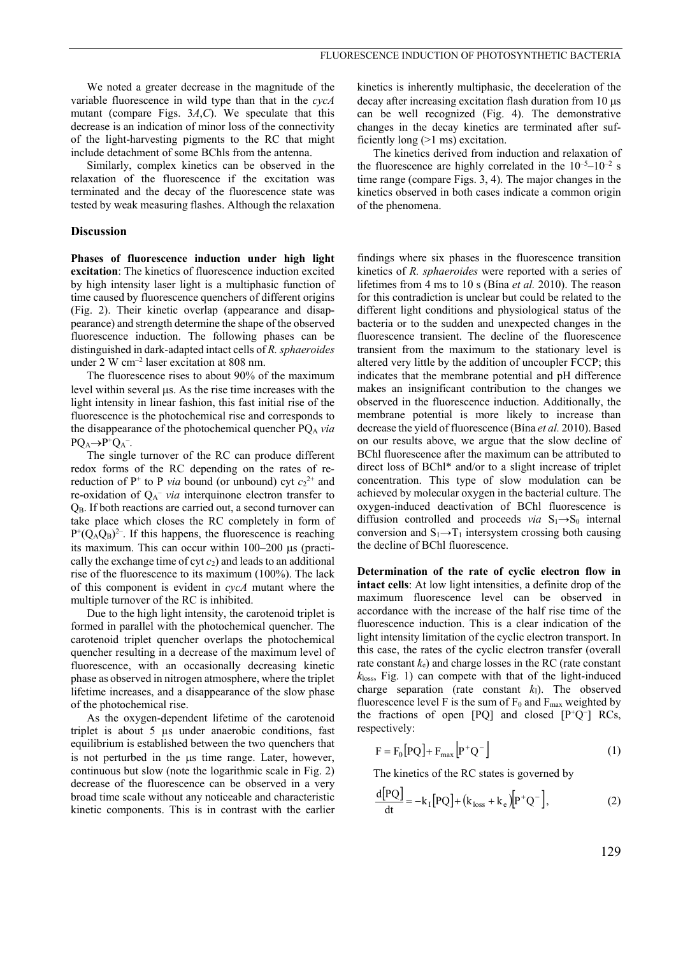We noted a greater decrease in the magnitude of the variable fluorescence in wild type than that in the *cycA* mutant (compare Figs. 3*A*,*C*). We speculate that this decrease is an indication of minor loss of the connectivity of the light-harvesting pigments to the RC that might include detachment of some BChls from the antenna.

Similarly, complex kinetics can be observed in the relaxation of the fluorescence if the excitation was terminated and the decay of the fluorescence state was tested by weak measuring flashes. Although the relaxation

#### **Discussion**

**Phases of fluorescence induction under high light excitation**: The kinetics of fluorescence induction excited by high intensity laser light is a multiphasic function of time caused by fluorescence quenchers of different origins (Fig. 2). Their kinetic overlap (appearance and disappearance) and strength determine the shape of the observed fluorescence induction. The following phases can be distinguished in dark-adapted intact cells of *R. sphaeroides* under 2 W cm<sup>-2</sup> laser excitation at 808 nm.

The fluorescence rises to about 90% of the maximum level within several  $\mu$ s. As the rise time increases with the light intensity in linear fashion, this fast initial rise of the fluorescence is the photochemical rise and corresponds to the disappearance of the photochemical quencher PQA *via*  $PQ_A \rightarrow P^+Q_A^-$ .

The single turnover of the RC can produce different redox forms of the RC depending on the rates of rereduction of  $P^+$  to P *via* bound (or unbound) cyt  $c_2^2$  and re-oxidation of  $Q_A^-$  *via* interquinone electron transfer to QB. If both reactions are carried out, a second turnover can take place which closes the RC completely in form of  $P^+(Q_AQ_B)^2$ . If this happens, the fluorescence is reaching its maximum. This can occur within  $100-200$   $\mu$ s (practically the exchange time of  $\cot c_2$  and leads to an additional rise of the fluorescence to its maximum (100%). The lack of this component is evident in *cycA* mutant where the multiple turnover of the RC is inhibited.

Due to the high light intensity, the carotenoid triplet is formed in parallel with the photochemical quencher. The carotenoid triplet quencher overlaps the photochemical quencher resulting in a decrease of the maximum level of fluorescence, with an occasionally decreasing kinetic phase as observed in nitrogen atmosphere, where the triplet lifetime increases, and a disappearance of the slow phase of the photochemical rise.

As the oxygen-dependent lifetime of the carotenoid triplet is about 5 µs under anaerobic conditions, fast equilibrium is established between the two quenchers that is not perturbed in the  $\mu$ s time range. Later, however, continuous but slow (note the logarithmic scale in Fig. 2) decrease of the fluorescence can be observed in a very broad time scale without any noticeable and characteristic kinetic components. This is in contrast with the earlier kinetics is inherently multiphasic, the deceleration of the  $decay$  after increasing excitation flash duration from 10  $\mu$ s can be well recognized (Fig. 4). The demonstrative changes in the decay kinetics are terminated after sufficiently long (>1 ms) excitation.

The kinetics derived from induction and relaxation of the fluorescence are highly correlated in the  $10^{-5}$ – $10^{-2}$  s time range (compare Figs. 3, 4). The major changes in the kinetics observed in both cases indicate a common origin of the phenomena.

findings where six phases in the fluorescence transition kinetics of *R. sphaeroides* were reported with a series of lifetimes from 4 ms to 10 s (Bína *et al.* 2010). The reason for this contradiction is unclear but could be related to the different light conditions and physiological status of the bacteria or to the sudden and unexpected changes in the fluorescence transient. The decline of the fluorescence transient from the maximum to the stationary level is altered very little by the addition of uncoupler FCCP; this indicates that the membrane potential and pH difference makes an insignificant contribution to the changes we observed in the fluorescence induction. Additionally, the membrane potential is more likely to increase than decrease the yield of fluorescence (Bína *et al.* 2010). Based on our results above, we argue that the slow decline of BChl fluorescence after the maximum can be attributed to direct loss of BChl\* and/or to a slight increase of triplet concentration. This type of slow modulation can be achieved by molecular oxygen in the bacterial culture. The oxygen-induced deactivation of BChl fluorescence is diffusion controlled and proceeds *via*  $S_1 \rightarrow S_0$  internal conversion and  $S_1 \rightarrow T_1$  intersystem crossing both causing the decline of BChl fluorescence.

**Determination of the rate of cyclic electron flow in intact cells**: At low light intensities, a definite drop of the maximum fluorescence level can be observed in accordance with the increase of the half rise time of the fluorescence induction. This is a clear indication of the light intensity limitation of the cyclic electron transport. In this case, the rates of the cyclic electron transfer (overall rate constant  $k_e$ ) and charge losses in the RC (rate constant *k*loss, Fig. 1) can compete with that of the light-induced charge separation (rate constant  $k<sub>1</sub>$ ). The observed fluorescence level F is the sum of  $F_0$  and  $F_{\text{max}}$  weighted by the fractions of open [PQ] and closed [P+Q<sup>−</sup>] RCs, respectively:

$$
F = F_0 [PQ] + F_{\text{max}} [P^+Q^-]
$$
 (1)

The kinetics of the RC states is governed by

$$
\frac{\text{d}[PQ]}{\text{dt}} = -k_1 [PQ] + (k_{\text{loss}} + k_e)[P^+Q^-],\tag{2}
$$

129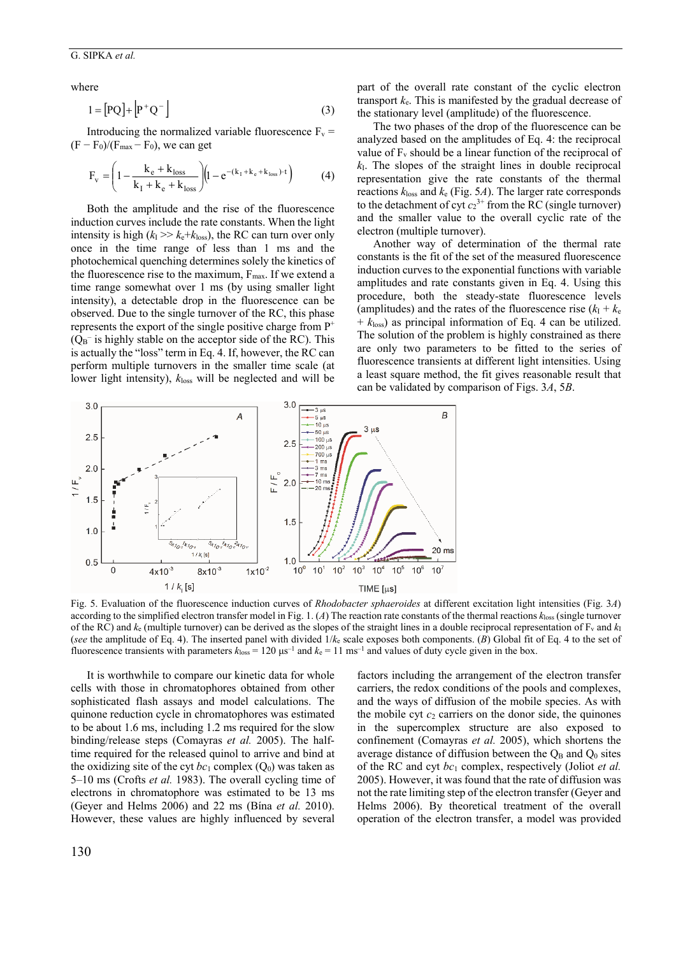# G. SIPKA *et al.*

where

$$
1 = [PQ] + [P^+Q^-]
$$
 (3)

Introducing the normalized variable fluorescence  $F_v$  =  $(F - F_0)/(F_{\text{max}} - F_0)$ , we can get

$$
F_v = \left(1 - \frac{k_e + k_{loss}}{k_I + k_e + k_{loss}}\right) \left(1 - e^{-(k_I + k_e + k_{loss}) \cdot t}\right) \tag{4}
$$

Both the amplitude and the rise of the fluorescence induction curves include the rate constants. When the light intensity is high  $(k_{\rm I} >> k_{\rm e} + k_{\rm loss})$ , the RC can turn over only once in the time range of less than 1 ms and the photochemical quenching determines solely the kinetics of the fluorescence rise to the maximum,  $F_{\text{max}}$ . If we extend a time range somewhat over 1 ms (by using smaller light intensity), a detectable drop in the fluorescence can be observed. Due to the single turnover of the RC, this phase represents the export of the single positive charge from  $P^+$  $(Q_B^-)$  is highly stable on the acceptor side of the RC). This is actually the "loss" term in Eq. 4. If, however, the RC can perform multiple turnovers in the smaller time scale (at lower light intensity), *k*loss will be neglected and will be

part of the overall rate constant of the cyclic electron transport  $k_e$ . This is manifested by the gradual decrease of the stationary level (amplitude) of the fluorescence.

The two phases of the drop of the fluorescence can be analyzed based on the amplitudes of Eq. 4: the reciprocal value of  $F_v$  should be a linear function of the reciprocal of  $k<sub>1</sub>$ . The slopes of the straight lines in double reciprocal representation give the rate constants of the thermal reactions  $k_{\text{loss}}$  and  $k_{\text{e}}$  (Fig. 5*A*). The larger rate corresponds to the detachment of cyt  $c_2^{3+}$  from the RC (single turnover) and the smaller value to the overall cyclic rate of the electron (multiple turnover).

Another way of determination of the thermal rate constants is the fit of the set of the measured fluorescence induction curves to the exponential functions with variable amplitudes and rate constants given in Eq. 4. Using this procedure, both the steady-state fluorescence levels (amplitudes) and the rates of the fluorescence rise  $(k_I + k_e)$  $+ k$ l<sub>loss</sub>) as principal information of Eq. 4 can be utilized. The solution of the problem is highly constrained as there are only two parameters to be fitted to the series of fluorescence transients at different light intensities. Using a least square method, the fit gives reasonable result that can be validated by comparison of Figs. 3*A*, 5*B*.



Fig. 5. Evaluation of the fluorescence induction curves of *Rhodobacter sphaeroides* at different excitation light intensities (Fig. 3*A*) according to the simplified electron transfer model in Fig. 1. (*A*) The reaction rate constants of the thermal reactions *k*loss (single turnover of the RC) and  $k_e$  (multiple turnover) can be derived as the slopes of the straight lines in a double reciprocal representation of  $F_v$  and  $k_1$ (*see* the amplitude of Eq. 4). The inserted panel with divided 1/*k*e scale exposes both components. (*B*) Global fit of Eq. 4 to the set of fluorescence transients with parameters  $k_{\text{loss}} = 120 \,\mu s^{-1}$  and  $k_e = 11 \,\text{ms}^{-1}$  and values of duty cycle given in the box.

It is worthwhile to compare our kinetic data for whole cells with those in chromatophores obtained from other sophisticated flash assays and model calculations. The quinone reduction cycle in chromatophores was estimated to be about 1.6 ms, including 1.2 ms required for the slow binding/release steps (Comayras *et al.* 2005). The halftime required for the released quinol to arrive and bind at the oxidizing site of the cyt  $bc_1$  complex  $(O_0)$  was taken as 5–10 ms (Crofts *et al.* 1983). The overall cycling time of electrons in chromatophore was estimated to be 13 ms (Geyer and Helms 2006) and 22 ms (Bína *et al.* 2010). However, these values are highly influenced by several

factors including the arrangement of the electron transfer carriers, the redox conditions of the pools and complexes, and the ways of diffusion of the mobile species. As with the mobile cyt  $c_2$  carriers on the donor side, the quinones in the supercomplex structure are also exposed to confinement (Comayras *et al.* 2005), which shortens the average distance of diffusion between the  $Q_B$  and  $Q_0$  sites of the RC and cyt *bc*1 complex, respectively (Joliot *et al.* 2005). However, it was found that the rate of diffusion was not the rate limiting step of the electron transfer (Geyer and Helms 2006). By theoretical treatment of the overall operation of the electron transfer, a model was provided